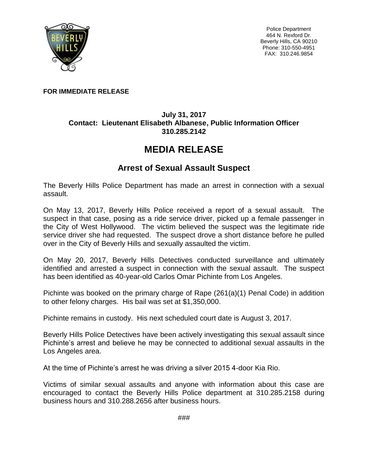

Police Department 464 N. Rexford Dr. Beverly Hills, CA 90210 Phone: 310-550-4951 FAX: 310.246.9854

## **FOR IMMEDIATE RELEASE**

## **July 31, 2017 Contact: Lieutenant Elisabeth Albanese, Public Information Officer 310.285.2142**

## **MEDIA RELEASE**

## **Arrest of Sexual Assault Suspect**

The Beverly Hills Police Department has made an arrest in connection with a sexual assault.

On May 13, 2017, Beverly Hills Police received a report of a sexual assault. The suspect in that case, posing as a ride service driver, picked up a female passenger in the City of West Hollywood. The victim believed the suspect was the legitimate ride service driver she had requested. The suspect drove a short distance before he pulled over in the City of Beverly Hills and sexually assaulted the victim.

On May 20, 2017, Beverly Hills Detectives conducted surveillance and ultimately identified and arrested a suspect in connection with the sexual assault. The suspect has been identified as 40-year-old Carlos Omar Pichinte from Los Angeles.

Pichinte was booked on the primary charge of Rape (261(a)(1) Penal Code) in addition to other felony charges. His bail was set at \$1,350,000.

Pichinte remains in custody. His next scheduled court date is August 3, 2017.

Beverly Hills Police Detectives have been actively investigating this sexual assault since Pichinte's arrest and believe he may be connected to additional sexual assaults in the Los Angeles area.

At the time of Pichinte's arrest he was driving a silver 2015 4-door Kia Rio.

Victims of similar sexual assaults and anyone with information about this case are encouraged to contact the Beverly Hills Police department at 310.285.2158 during business hours and 310.288.2656 after business hours.